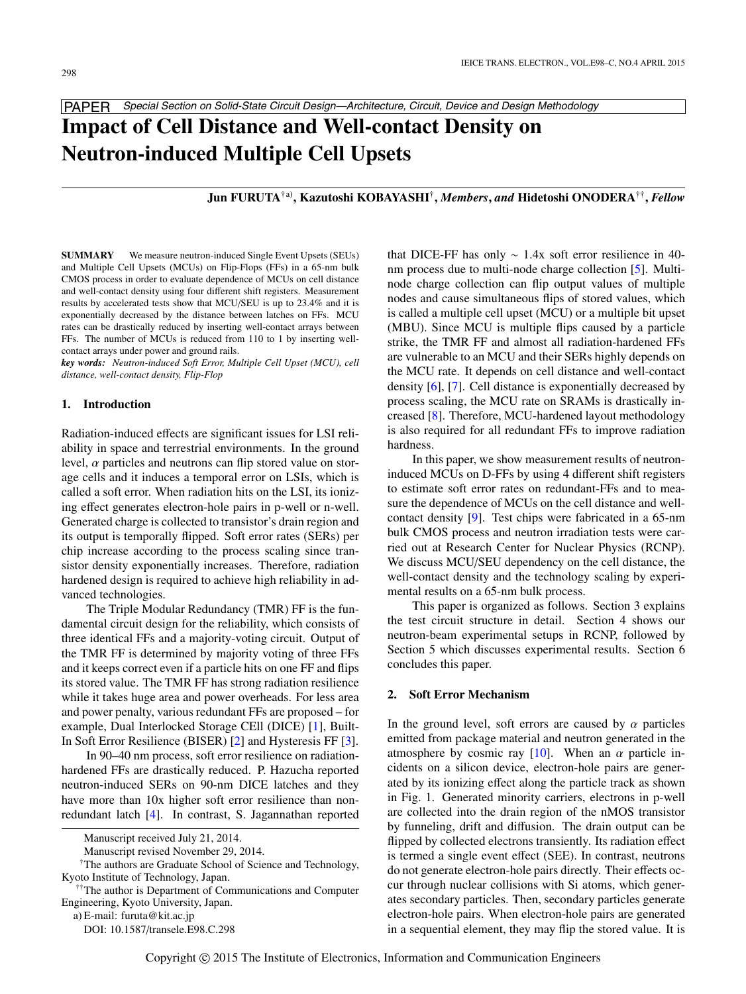PAPER *Special Section on Solid-State Circuit Design—Architecture, Circuit, Device and Design Methodology*

# **Impact of Cell Distance and Well-contact Density on Neutron-induced Multiple Cell Upsets**

# **Jun FURUTA**†a)**, Kazutoshi KOBAYASHI**† **,** *Members***,** *and* **Hidetoshi ONODERA**†† **,** *Fellow*

**SUMMARY** We measure neutron-induced Single Event Upsets (SEUs) and Multiple Cell Upsets (MCUs) on Flip-Flops (FFs) in a 65-nm bulk CMOS process in order to evaluate dependence of MCUs on cell distance and well-contact density using four different shift registers. Measurement results by accelerated tests show that MCU/SEU is up to 23.4% and it is exponentially decreased by the distance between latches on FFs. MCU rates can be drastically reduced by inserting well-contact arrays between FFs. The number of MCUs is reduced from 110 to 1 by inserting wellcontact arrays under power and ground rails.

*key words: Neutron-induced Soft Error, Multiple Cell Upset (MCU), cell distance, well-contact density, Flip-Flop*

## **1. Introduction**

Radiation-induced effects are significant issues for LSI reliability in space and terrestrial environments. In the ground level,  $\alpha$  particles and neutrons can flip stored value on storage cells and it induces a temporal error on LSIs, which is called a soft error. When radiation hits on the LSI, its ionizing effect generates electron-hole pairs in p-well or n-well. Generated charge is collected to transistor's drain region and its output is temporally flipped. Soft error rates (SERs) per chip increase according to the process scaling since transistor density exponentially increases. Therefore, radiation hardened design is required to achieve high reliability in advanced technologies.

The Triple Modular Redundancy (TMR) FF is the fundamental circuit design for the reliability, which consists of three identical FFs and a majority-voting circuit. Output of the TMR FF is determined by majority voting of three FFs and it keeps correct even if a particle hits on one FF and flips its stored value. The TMR FF has strong radiation resilience while it takes huge area and power overheads. For less area and power penalty, various redundant FFs are proposed – for example, Dual Interlocked Storage CEll (DICE) [\[1\]](#page-5-0), Built-In Soft Error Resilience (BISER) [\[2\]](#page-5-1) and Hysteresis FF [\[3\]](#page-5-2).

In 90–40 nm process, soft error resilience on radiationhardened FFs are drastically reduced. P. Hazucha reported neutron-induced SERs on 90-nm DICE latches and they have more than 10x higher soft error resilience than nonredundant latch [\[4\]](#page-5-3). In contrast, S. Jagannathan reported

a) E-mail: furuta@kit.ac.jp

DOI: 10.1587/transele.E98.C.298

that DICE-FF has only ∼ 1.4x soft error resilience in 40 nm process due to multi-node charge collection [\[5\]](#page-5-4). Multinode charge collection can flip output values of multiple nodes and cause simultaneous flips of stored values, which is called a multiple cell upset (MCU) or a multiple bit upset (MBU). Since MCU is multiple flips caused by a particle strike, the TMR FF and almost all radiation-hardened FFs are vulnerable to an MCU and their SERs highly depends on the MCU rate. It depends on cell distance and well-contact density [\[6\]](#page-5-5), [\[7\]](#page-5-6). Cell distance is exponentially decreased by process scaling, the MCU rate on SRAMs is drastically increased [\[8\]](#page-5-7). Therefore, MCU-hardened layout methodology is also required for all redundant FFs to improve radiation hardness.

In this paper, we show measurement results of neutroninduced MCUs on D-FFs by using 4 different shift registers to estimate soft error rates on redundant-FFs and to measure the dependence of MCUs on the cell distance and wellcontact density [\[9\]](#page-5-8). Test chips were fabricated in a 65-nm bulk CMOS process and neutron irradiation tests were carried out at Research Center for Nuclear Physics (RCNP). We discuss MCU/SEU dependency on the cell distance, the well-contact density and the technology scaling by experimental results on a 65-nm bulk process.

This paper is organized as follows. Section 3 explains the test circuit structure in detail. Section 4 shows our neutron-beam experimental setups in RCNP, followed by Section 5 which discusses experimental results. Section 6 concludes this paper.

# **2. Soft Error Mechanism**

In the ground level, soft errors are caused by  $\alpha$  particles emitted from package material and neutron generated in the atmosphere by cosmic ray [\[10\]](#page-5-9). When an  $\alpha$  particle incidents on a silicon device, electron-hole pairs are generated by its ionizing effect along the particle track as shown in Fig. 1. Generated minority carriers, electrons in p-well are collected into the drain region of the nMOS transistor by funneling, drift and diffusion. The drain output can be flipped by collected electrons transiently. Its radiation effect is termed a single event effect (SEE). In contrast, neutrons do not generate electron-hole pairs directly. Their effects occur through nuclear collisions with Si atoms, which generates secondary particles. Then, secondary particles generate electron-hole pairs. When electron-hole pairs are generated in a sequential element, they may flip the stored value. It is

Manuscript received July 21, 2014.

Manuscript revised November 29, 2014.

<sup>†</sup>The authors are Graduate School of Science and Technology, Kyoto Institute of Technology, Japan.

<sup>††</sup>The author is Department of Communications and Computer Engineering, Kyoto University, Japan.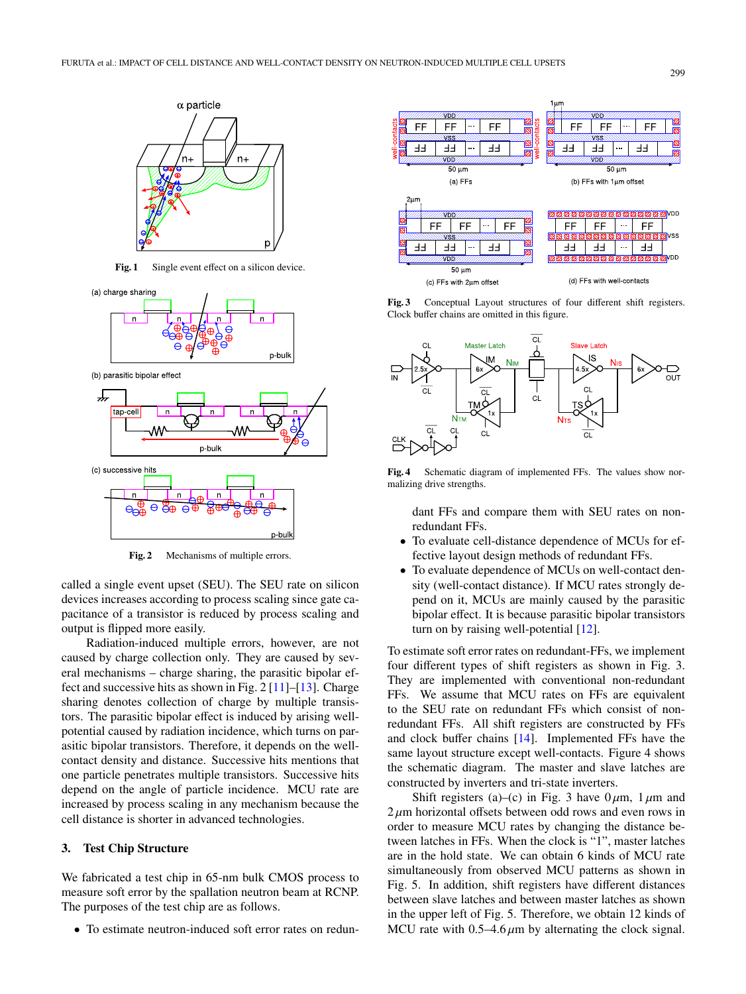

Fig. 1 Single event effect on a silicon device.



**Fig. 2** Mechanisms of multiple errors.

called a single event upset (SEU). The SEU rate on silicon devices increases according to process scaling since gate capacitance of a transistor is reduced by process scaling and output is flipped more easily.

Radiation-induced multiple errors, however, are not caused by charge collection only. They are caused by several mechanisms – charge sharing, the parasitic bipolar effect and successive hits as shown in Fig.  $2 \lfloor 11 \rfloor - \lfloor 13 \rfloor$ . Charge sharing denotes collection of charge by multiple transistors. The parasitic bipolar effect is induced by arising wellpotential caused by radiation incidence, which turns on parasitic bipolar transistors. Therefore, it depends on the wellcontact density and distance. Successive hits mentions that one particle penetrates multiple transistors. Successive hits depend on the angle of particle incidence. MCU rate are increased by process scaling in any mechanism because the cell distance is shorter in advanced technologies.

# **3. Test Chip Structure**

We fabricated a test chip in 65-nm bulk CMOS process to measure soft error by the spallation neutron beam at RCNP. The purposes of the test chip are as follows.

• To estimate neutron-induced soft error rates on redun-



**Fig. 3** Conceptual Layout structures of four different shift registers. Clock buffer chains are omitted in this figure.



**Fig. 4** Schematic diagram of implemented FFs. The values show normalizing drive strengths.

dant FFs and compare them with SEU rates on nonredundant FFs.

- To evaluate cell-distance dependence of MCUs for effective layout design methods of redundant FFs.
- To evaluate dependence of MCUs on well-contact density (well-contact distance). If MCU rates strongly depend on it, MCUs are mainly caused by the parasitic bipolar effect. It is because parasitic bipolar transistors turn on by raising well-potential  $[12]$ .

To estimate soft error rates on redundant-FFs, we implement four different types of shift registers as shown in Fig. 3. They are implemented with conventional non-redundant FFs. We assume that MCU rates on FFs are equivalent to the SEU rate on redundant FFs which consist of nonredundant FFs. All shift registers are constructed by FFs and clock buffer chains [\[14\]](#page-5-13). Implemented FFs have the same layout structure except well-contacts. Figure 4 shows the schematic diagram. The master and slave latches are constructed by inverters and tri-state inverters.

Shift registers (a)–(c) in Fig. 3 have  $0 \mu m$ ,  $1 \mu m$  and  $2 \mu$ m horizontal offsets between odd rows and even rows in order to measure MCU rates by changing the distance between latches in FFs. When the clock is "1", master latches are in the hold state. We can obtain 6 kinds of MCU rate simultaneously from observed MCU patterns as shown in Fig. 5. In addition, shift registers have different distances between slave latches and between master latches as shown in the upper left of Fig. 5. Therefore, we obtain 12 kinds of MCU rate with  $0.5-4.6 \mu m$  by alternating the clock signal.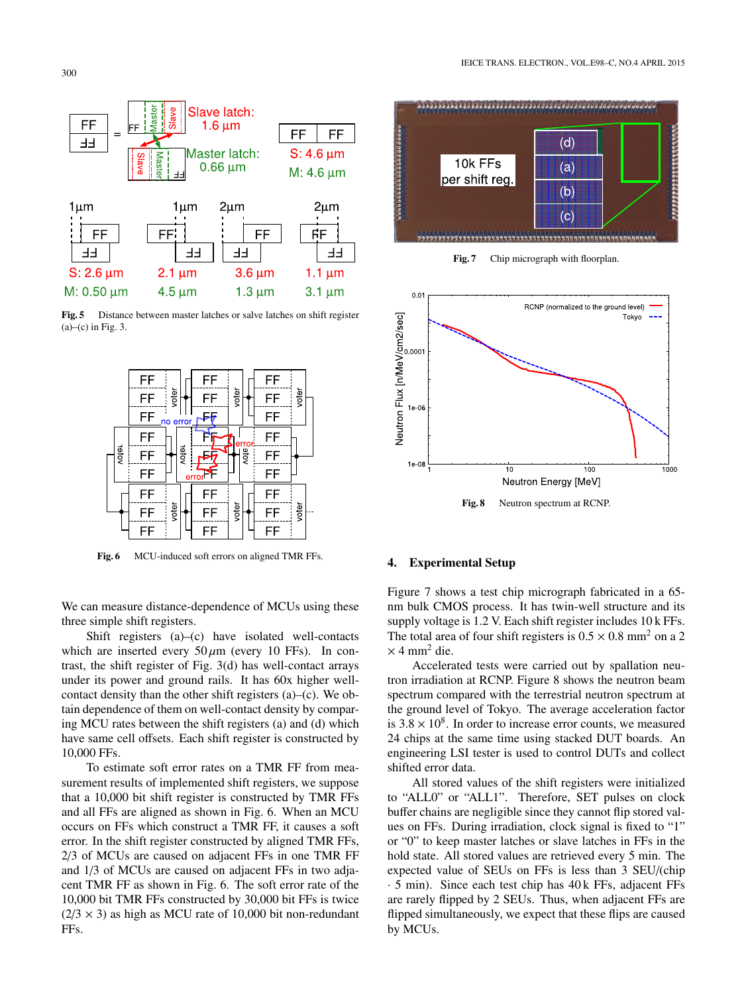

**Fig. 5** Distance between master latches or salve latches on shift register  $(a)$ – $(c)$  in Fig. 3.



**Fig. 6** MCU-induced soft errors on aligned TMR FFs.

We can measure distance-dependence of MCUs using these three simple shift registers.

Shift registers  $(a)$ – $(c)$  have isolated well-contacts which are inserted every  $50 \mu m$  (every 10 FFs). In contrast, the shift register of Fig. 3(d) has well-contact arrays under its power and ground rails. It has 60x higher wellcontact density than the other shift registers (a)–(c). We obtain dependence of them on well-contact density by comparing MCU rates between the shift registers (a) and (d) which have same cell offsets. Each shift register is constructed by 10,000 FFs.

To estimate soft error rates on a TMR FF from measurement results of implemented shift registers, we suppose that a 10,000 bit shift register is constructed by TMR FFs and all FFs are aligned as shown in Fig. 6. When an MCU occurs on FFs which construct a TMR FF, it causes a soft error. In the shift register constructed by aligned TMR FFs, 2/3 of MCUs are caused on adjacent FFs in one TMR FF and 1/3 of MCUs are caused on adjacent FFs in two adjacent TMR FF as shown in Fig. 6. The soft error rate of the 10,000 bit TMR FFs constructed by 30,000 bit FFs is twice  $(2/3 \times 3)$  as high as MCU rate of 10,000 bit non-redundant FFs.



Fig. 7 Chip micrograph with floorplan.



#### **4. Experimental Setup**

Figure 7 shows a test chip micrograph fabricated in a 65 nm bulk CMOS process. It has twin-well structure and its supply voltage is 1.2 V. Each shift register includes 10 k FFs. The total area of four shift registers is  $0.5 \times 0.8$  mm<sup>2</sup> on a 2  $\times$  4 mm<sup>2</sup> die.

Accelerated tests were carried out by spallation neutron irradiation at RCNP. Figure 8 shows the neutron beam spectrum compared with the terrestrial neutron spectrum at the ground level of Tokyo. The average acceleration factor is  $3.8 \times 10^8$ . In order to increase error counts, we measured 24 chips at the same time using stacked DUT boards. An engineering LSI tester is used to control DUTs and collect shifted error data.

All stored values of the shift registers were initialized to "ALL0" or "ALL1". Therefore, SET pulses on clock buffer chains are negligible since they cannot flip stored values on FFs. During irradiation, clock signal is fixed to "1" or "0" to keep master latches or slave latches in FFs in the hold state. All stored values are retrieved every 5 min. The expected value of SEUs on FFs is less than 3 SEU/(chip · 5 min). Since each test chip has 40 k FFs, adjacent FFs are rarely flipped by 2 SEUs. Thus, when adjacent FFs are flipped simultaneously, we expect that these flips are caused by MCUs.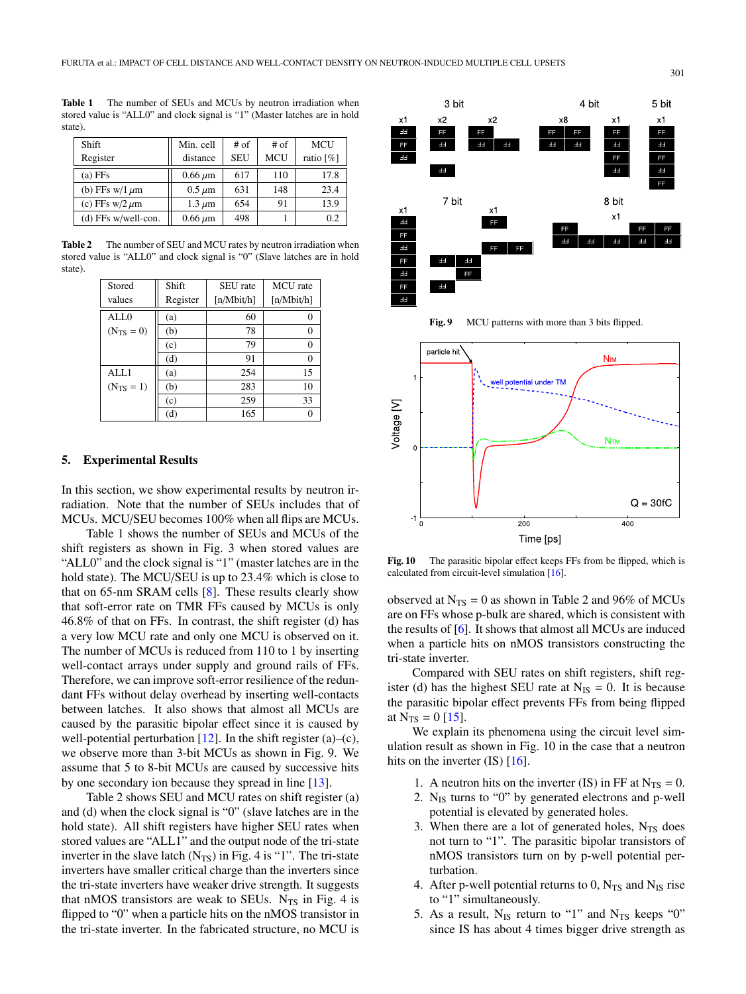**Table 1** The number of SEUs and MCUs by neutron irradiation when stored value is "ALL0" and clock signal is "1" (Master latches are in hold state).

| Shift                 | Min. cell    | $#$ of     | $#$ of     | <b>MCU</b> |
|-----------------------|--------------|------------|------------|------------|
| Register              | distance     | <b>SEU</b> | <b>MCU</b> | ratio [%]  |
| $(a)$ FFs             | $0.66 \mu m$ | 617        | 110        | 17.8       |
| (b) FFs w/1 $\mu$ m   | $0.5 \mu m$  | 631        | 148        | 23.4       |
| (c) FFs w/2 $\mu$ m   | $1.3 \mu m$  | 654        | 91         | 13.9       |
| $(d)$ FFs w/well-con. | $0.66 \mu m$ | 498        |            | 0.2        |

Table 2 The number of SEU and MCU rates by neutron irradiation when stored value is "ALL0" and clock signal is "0" (Slave latches are in hold state)

| Stored         | Shift    | SEU rate   | MCU rate   |
|----------------|----------|------------|------------|
|                |          |            |            |
| values         | Register | [n/Mbit/h] | [n/Mbit/h] |
| AIJ.0          | (a)      | 60         | $\theta$   |
| $(N_{TS} = 0)$ | (b)      | 78         | 0          |
|                | (c)      | 79         | 0          |
|                | (d)      | 91         | 0          |
| ALL1           | (a)      | 254        | 15         |
| $(N_{TS} = 1)$ | (b)      | 283        | 10         |
|                | (c)      | 259        | 33         |
|                | (d)      | 165        |            |

#### **5. Experimental Results**

In this section, we show experimental results by neutron irradiation. Note that the number of SEUs includes that of MCUs. MCU/SEU becomes 100% when all flips are MCUs.

Table 1 shows the number of SEUs and MCUs of the shift registers as shown in Fig. 3 when stored values are "ALL0" and the clock signal is "1" (master latches are in the hold state). The MCU/SEU is up to 23.4% which is close to that on 65-nm SRAM cells [\[8\]](#page-5-7). These results clearly show that soft-error rate on TMR FFs caused by MCUs is only 46.8% of that on FFs. In contrast, the shift register (d) has a very low MCU rate and only one MCU is observed on it. The number of MCUs is reduced from 110 to 1 by inserting well-contact arrays under supply and ground rails of FFs. Therefore, we can improve soft-error resilience of the redundant FFs without delay overhead by inserting well-contacts between latches. It also shows that almost all MCUs are caused by the parasitic bipolar effect since it is caused by well-potential perturbation  $[12]$ . In the shift register (a)–(c), we observe more than 3-bit MCUs as shown in Fig. 9. We assume that 5 to 8-bit MCUs are caused by successive hits by one secondary ion because they spread in line [\[13\]](#page-5-11).

Table 2 shows SEU and MCU rates on shift register (a) and (d) when the clock signal is "0" (slave latches are in the hold state). All shift registers have higher SEU rates when stored values are "ALL1" and the output node of the tri-state inverter in the slave latch  $(N_{TS})$  in Fig. 4 is "1". The tri-state inverters have smaller critical charge than the inverters since the tri-state inverters have weaker drive strength. It suggests that nMOS transistors are weak to SEUs.  $N_{TS}$  in Fig. 4 is flipped to "0" when a particle hits on the nMOS transistor in the tri-state inverter. In the fabricated structure, no MCU is



Fig. 9 MCU patterns with more than 3 bits flipped.



**Fig. 10** The parasitic bipolar effect keeps FFs from be flipped, which is calculated from circuit-level simulation [\[16\]](#page-5-14).

observed at  $N_{TS} = 0$  as shown in Table 2 and 96% of MCUs are on FFs whose p-bulk are shared, which is consistent with the results of [\[6\]](#page-5-5). It shows that almost all MCUs are induced when a particle hits on nMOS transistors constructing the tri-state inverter.

Compared with SEU rates on shift registers, shift register (d) has the highest SEU rate at  $N_{IS} = 0$ . It is because the parasitic bipolar effect prevents FFs from being flipped at  $N_{TS} = 0$  [\[15\]](#page-5-15).

We explain its phenomena using the circuit level simulation result as shown in Fig. 10 in the case that a neutron hits on the inverter  $(IS)$   $[16]$ .

- 1. A neutron hits on the inverter (IS) in FF at  $N_{TS} = 0$ .
- 2.  $N_{IS}$  turns to "0" by generated electrons and p-well potential is elevated by generated holes.
- 3. When there are a lot of generated holes,  $N_{TS}$  does not turn to "1". The parasitic bipolar transistors of nMOS transistors turn on by p-well potential perturbation.
- 4. After p-well potential returns to 0,  $N_{TS}$  and  $N_{IS}$  rise to "1" simultaneously.
- 5. As a result,  $N_{IS}$  return to "1" and  $N_{TS}$  keeps "0" since IS has about 4 times bigger drive strength as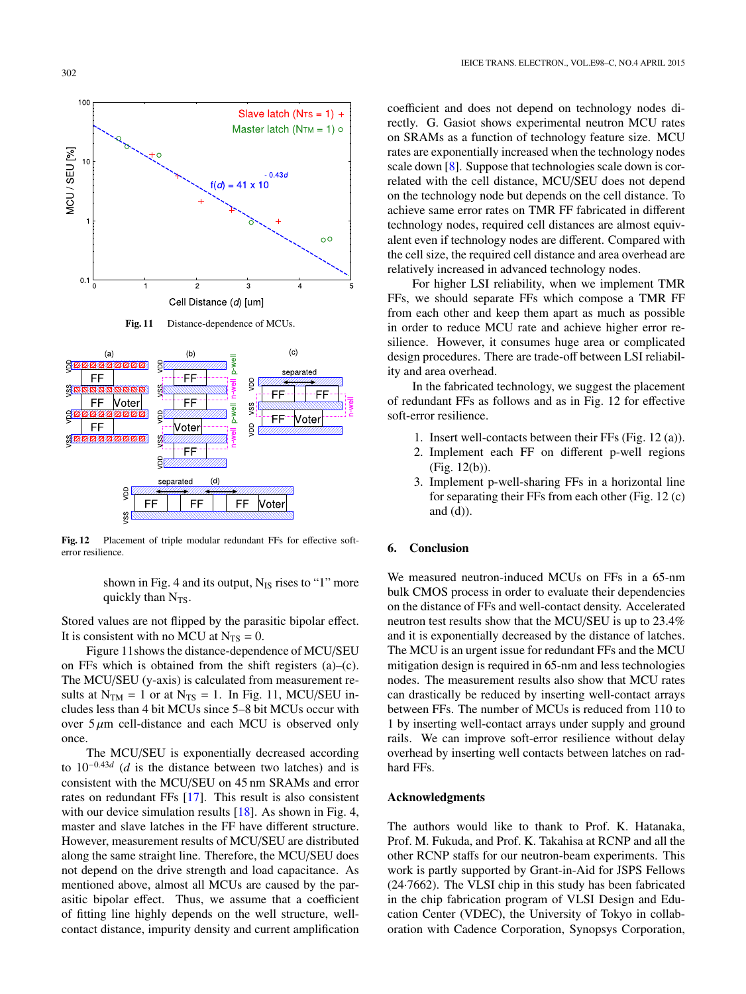

**Fig. 11** Distance-dependence of MCUs.



**Fig. 12** Placement of triple modular redundant FFs for effective softerror resilience.

shown in Fig. 4 and its output,  $N_{IS}$  rises to "1" more quickly than  $N_{TS}$ .

Stored values are not flipped by the parasitic bipolar effect. It is consistent with no MCU at  $N_{TS} = 0$ .

Figure 11shows the distance-dependence of MCU/SEU on FFs which is obtained from the shift registers  $(a)$ – $(c)$ . The MCU/SEU (y-axis) is calculated from measurement results at  $N_{TM} = 1$  or at  $N_{TS} = 1$ . In Fig. 11, MCU/SEU includes less than 4 bit MCUs since 5–8 bit MCUs occur with over  $5 \mu m$  cell-distance and each MCU is observed only once.

The MCU/SEU is exponentially decreased according to 10−0.43*<sup>d</sup>* (*d* is the distance between two latches) and is consistent with the MCU/SEU on 45 nm SRAMs and error rates on redundant FFs [\[17\]](#page-5-16). This result is also consistent with our device simulation results  $[18]$ . As shown in Fig. 4, master and slave latches in the FF have different structure. However, measurement results of MCU/SEU are distributed along the same straight line. Therefore, the MCU/SEU does not depend on the drive strength and load capacitance. As mentioned above, almost all MCUs are caused by the parasitic bipolar effect. Thus, we assume that a coefficient of fitting line highly depends on the well structure, wellcontact distance, impurity density and current amplification coefficient and does not depend on technology nodes directly. G. Gasiot shows experimental neutron MCU rates on SRAMs as a function of technology feature size. MCU rates are exponentially increased when the technology nodes scale down [\[8\]](#page-5-7). Suppose that technologies scale down is correlated with the cell distance, MCU/SEU does not depend on the technology node but depends on the cell distance. To achieve same error rates on TMR FF fabricated in different technology nodes, required cell distances are almost equivalent even if technology nodes are different. Compared with the cell size, the required cell distance and area overhead are relatively increased in advanced technology nodes.

For higher LSI reliability, when we implement TMR FFs, we should separate FFs which compose a TMR FF from each other and keep them apart as much as possible in order to reduce MCU rate and achieve higher error resilience. However, it consumes huge area or complicated design procedures. There are trade-off between LSI reliability and area overhead.

In the fabricated technology, we suggest the placement of redundant FFs as follows and as in Fig. 12 for effective soft-error resilience.

- 1. Insert well-contacts between their FFs (Fig. 12 (a)).
- 2. Implement each FF on different p-well regions (Fig. 12(b)).
- 3. Implement p-well-sharing FFs in a horizontal line for separating their FFs from each other (Fig. 12 (c) and  $(d)$ ).

## **6. Conclusion**

We measured neutron-induced MCUs on FFs in a 65-nm bulk CMOS process in order to evaluate their dependencies on the distance of FFs and well-contact density. Accelerated neutron test results show that the MCU/SEU is up to 23.4% and it is exponentially decreased by the distance of latches. The MCU is an urgent issue for redundant FFs and the MCU mitigation design is required in 65-nm and less technologies nodes. The measurement results also show that MCU rates can drastically be reduced by inserting well-contact arrays between FFs. The number of MCUs is reduced from 110 to 1 by inserting well-contact arrays under supply and ground rails. We can improve soft-error resilience without delay overhead by inserting well contacts between latches on radhard FFs.

#### **Acknowledgments**

The authors would like to thank to Prof. K. Hatanaka, Prof. M. Fukuda, and Prof. K. Takahisa at RCNP and all the other RCNP staffs for our neutron-beam experiments. This work is partly supported by Grant-in-Aid for JSPS Fellows (24·7662). The VLSI chip in this study has been fabricated in the chip fabrication program of VLSI Design and Education Center (VDEC), the University of Tokyo in collaboration with Cadence Corporation, Synopsys Corporation,